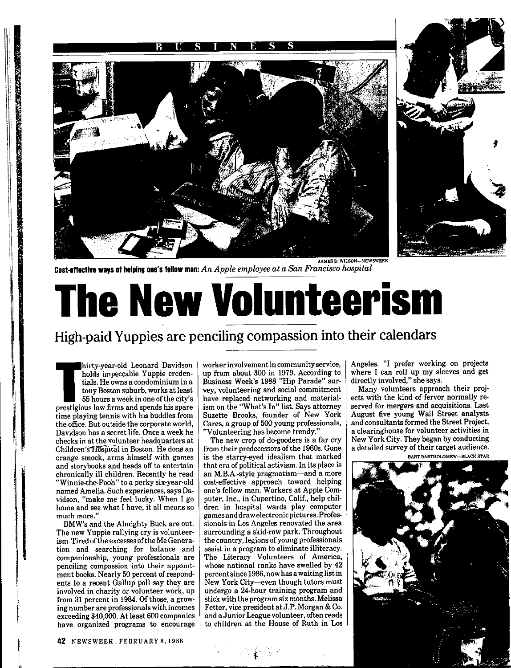



**Cost-effective ways of helping one's fellow man:** *An Apple employee at a San Francisco hospital* 

## **The New Volunteerism**

## **High-paid Yuppies are penciling compassion into their calendars**

hirty-year-old Leonard Davidson<br>holds impeccable Yuppie creden-<br>tials. He owns a condominium in a<br>tony Boston suburb, works at least<br>55 hours a week in one of the city's<br>prestigious law firms and spends his spare hirty-year-old Leonard Davidson holds impeccable Yuppie credentials. He owns a condominium in a tony Boston suburb, works at least 55 hours a week in one of the city's time playing tennis with his buddies from the office. But outside the corporate world, Davidson has a secret life. Once a week he checks in at the volunteer headquarters at Children's Höspital in Boston. He dons an orange smock, arms himself with games and storybooks and heads off to entertain chronically ill children. Recently he read "Winnie-the-Pooh" to a perky six-year-old named Amelia. Such experiences, says Davidson, "make me feel lucky. When I go home and see what I have, it all means so much more."

I i '

**PARTY OF PERSONS AND ARRANGEMENT CONTROLLER OF PERSONS AND ARRANGEMENT OF PERSONS ARRANGEMENT OF PERSONS ARRANGEMENT OF PERSONS ARRANGEMENT OF PERSONS ARRANGEMENT OF PERSONS ARRANGEMENT OF PERSONS ARRANGEMENT OF PERSONS A** 

BMW's and the Almighty Buck are out. The new Yuppie rallying cry is volunteerism. Tired of the excesses of the Me Generation and searching for balance and companionship, young professionals are penciling compassion into their appointment books. Nearly 50 percent of respondents to a recent Gallup poll say they are involved in charity or volunteer work, up from 31 percent in 1984. Of those, a growing number are professionals with incomes exceeding \$40,000. At least 600 companies have organized programs to encourage worker involvement in community service, up from about 300 in 1979. According to Business Week's 1988 "Hip Parade" survey, volunteering and social commitment. have replaced networking and materialism on the "What's In" list. Says attorney Suzette Brooks, founder of New York Cares, a group of 500 young professionals, "Volunteering has become trendy."

The new crop of do-gooders is a far cry from their predecessors of the 1960s. Gone is the starry-eyed idealism that marked that era of political activism. In its place is an M.B.A.-style pragmatism-and a more cost-effective approach toward helping one's fellow man. Workers at Apple Computer, Inc., in Cupertino, Calif., help children in hospital wards play computer games and draw electronic pictures. Professionals in Los Angeles renovated the area surrounding a skid-row park. Throughout the country, legions of young professionals assist in a program to eliminate illiteracy. The Literacy Volunteers of America, whose national ranks have swelled by 42 percent since 1986, now has a waiting list in New York City-even though tutors must undergo a 24-hour training program and stick with the program six months. Melissa Fetter, vice president at J.P. Morgan & Co. and a Junior League volunteer, often reads to children at the House of Ruth in Los Angeles. "I prefer working on projects where I can roll up my sleeves and get directly involved," she says.

Many volunteers approach their projects with the kind of fervor normally reserved for mergers and acquisitions. Last August five young Wall Street analysts and consultants formed the Street Project, a clearinghouse for volunteer activities in New York City. They began by conducting a detailed survey of their target audience. BART BARTHOLOMEW-BLACK STAR